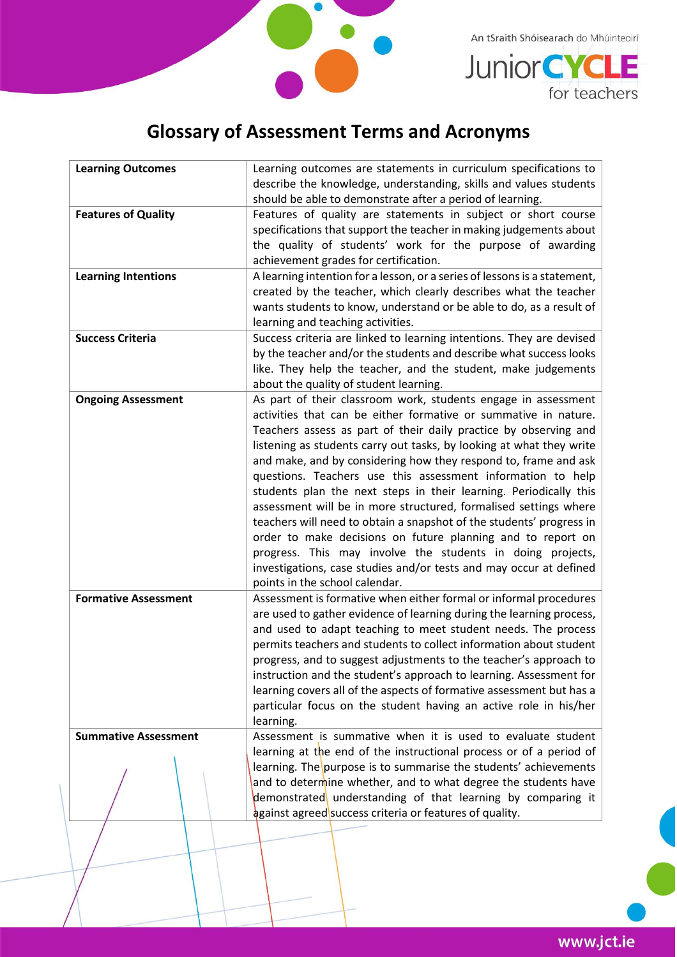

An tSraith Shóisearach do Mhúinteoirí



## **Glossary of Assessment Terms and Acronyms**

| <b>Learning Outcomes</b>    | Learning outcomes are statements in curriculum specifications to<br>describe the knowledge, understanding, skills and values students                                                                                                                                                                                                                                                                                                                                                                                                                                                                                                                                                                                                                                                                                                                                 |
|-----------------------------|-----------------------------------------------------------------------------------------------------------------------------------------------------------------------------------------------------------------------------------------------------------------------------------------------------------------------------------------------------------------------------------------------------------------------------------------------------------------------------------------------------------------------------------------------------------------------------------------------------------------------------------------------------------------------------------------------------------------------------------------------------------------------------------------------------------------------------------------------------------------------|
|                             | should be able to demonstrate after a period of learning.                                                                                                                                                                                                                                                                                                                                                                                                                                                                                                                                                                                                                                                                                                                                                                                                             |
| <b>Features of Quality</b>  | Features of quality are statements in subject or short course<br>specifications that support the teacher in making judgements about<br>the quality of students' work for the purpose of awarding<br>achievement grades for certification.                                                                                                                                                                                                                                                                                                                                                                                                                                                                                                                                                                                                                             |
| <b>Learning Intentions</b>  | A learning intention for a lesson, or a series of lessons is a statement,<br>created by the teacher, which clearly describes what the teacher<br>wants students to know, understand or be able to do, as a result of<br>learning and teaching activities.                                                                                                                                                                                                                                                                                                                                                                                                                                                                                                                                                                                                             |
| <b>Success Criteria</b>     | Success criteria are linked to learning intentions. They are devised<br>by the teacher and/or the students and describe what success looks<br>like. They help the teacher, and the student, make judgements<br>about the quality of student learning.                                                                                                                                                                                                                                                                                                                                                                                                                                                                                                                                                                                                                 |
| <b>Ongoing Assessment</b>   | As part of their classroom work, students engage in assessment<br>activities that can be either formative or summative in nature.<br>Teachers assess as part of their daily practice by observing and<br>listening as students carry out tasks, by looking at what they write<br>and make, and by considering how they respond to, frame and ask<br>questions. Teachers use this assessment information to help<br>students plan the next steps in their learning. Periodically this<br>assessment will be in more structured, formalised settings where<br>teachers will need to obtain a snapshot of the students' progress in<br>order to make decisions on future planning and to report on<br>progress. This may involve the students in doing projects,<br>investigations, case studies and/or tests and may occur at defined<br>points in the school calendar. |
| <b>Formative Assessment</b> | Assessment is formative when either formal or informal procedures<br>are used to gather evidence of learning during the learning process,<br>and used to adapt teaching to meet student needs. The process<br>permits teachers and students to collect information about student<br>progress, and to suggest adjustments to the teacher's approach to<br>instruction and the student's approach to learning. Assessment for<br>learning covers all of the aspects of formative assessment but has a<br>particular focus on the student having an active role in his/her<br>learning.                                                                                                                                                                                                                                                                                  |
| <b>Summative Assessment</b> | Assessment is summative when it is used to evaluate student<br>learning at the end of the instructional process or of a period of<br>learning. The purpose is to summarise the students' achievements<br>and to determine whether, and to what degree the students have<br>demonstrated understanding of that learning by comparing it<br><b>against agreed</b> success criteria or features of quality.                                                                                                                                                                                                                                                                                                                                                                                                                                                              |